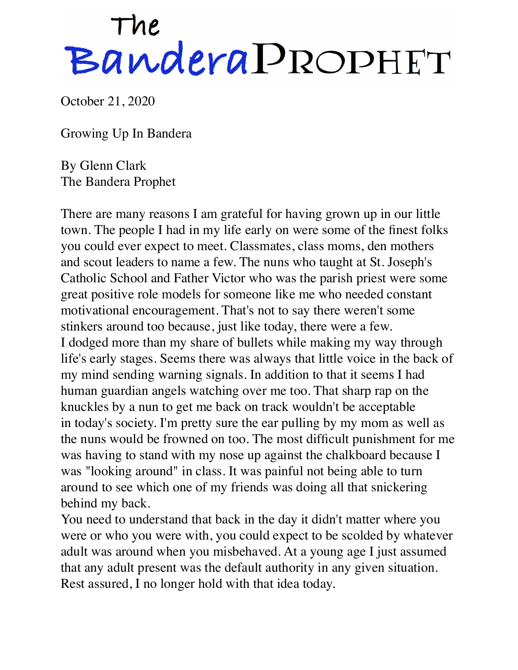## The<br>Bandera PROPHET

October 21, 2020

Growing Up In Bandera

By Glenn Clark The Bandera Prophet

There are many reasons I am grateful for having grown up in our little town. The people I had in my life early on were some of the finest folks you could ever expect to meet. Classmates, class moms, den mothers and scout leaders to name a few. The nuns who taught at St. Joseph's Catholic School and Father Victor who was the parish priest were some great positive role models for someone like me who needed constant motivational encouragement. That's not to say there weren't some stinkers around too because, just like today, there were a few. I dodged more than my share of bullets while making my way through life's early stages. Seems there was always that little voice in the back of my mind sending warning signals. In addition to that it seems I had human guardian angels watching over me too. That sharp rap on the knuckles by a nun to get me back on track wouldn't be acceptable in today's society. I'm pretty sure the ear pulling by my mom as well as the nuns would be frowned on too. The most difficult punishment for me was having to stand with my nose up against the chalkboard because I was "looking around" in class. It was painful not being able to turn around to see which one of my friends was doing all that snickering behind my back.

You need to understand that back in the day it didn't matter where you were or who you were with, you could expect to be scolded by whatever adult was around when you misbehaved. At a young age I just assumed that any adult present was the default authority in any given situation. Rest assured, I no longer hold with that idea today.